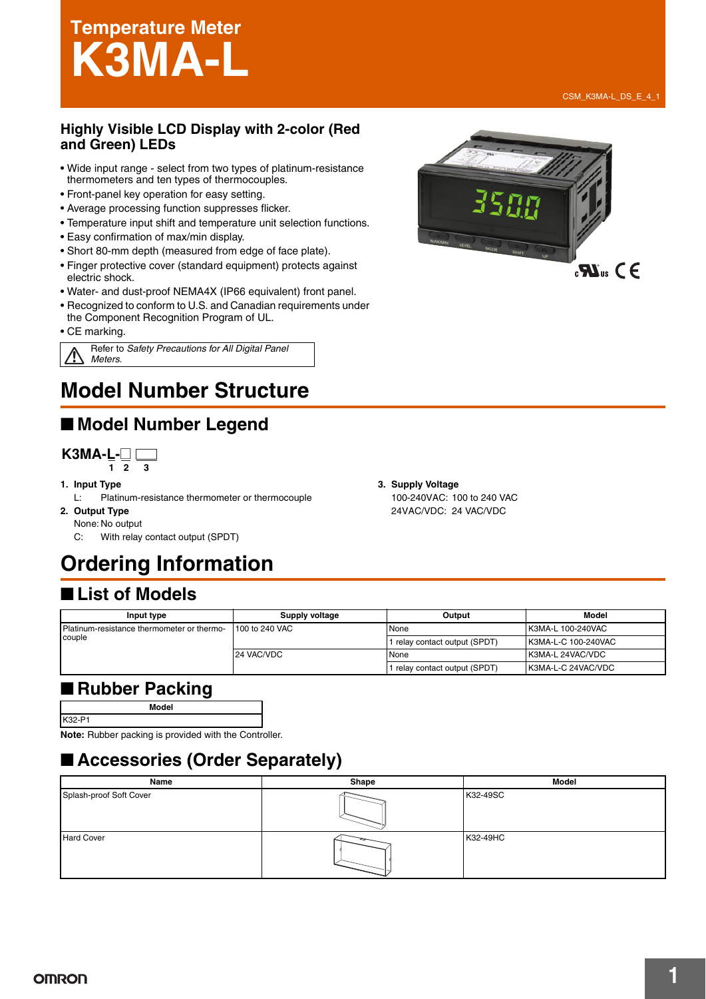# **Temperature Meter K3MA-L**

#### **Highly Visible LCD Display with 2-color (Red and Green) LEDs**

- Wide input range select from two types of platinum-resistance thermometers and ten types of thermocouples.
- Front-panel key operation for easy setting.
- Average processing function suppresses flicker.
- Temperature input shift and temperature unit selection functions.
- Easy confirmation of max/min display.
- Short 80-mm depth (measured from edge of face plate).
- Finger protective cover (standard equipment) protects against electric shock.
- Water- and dust-proof NEMA4X (IP66 equivalent) front panel.
- Recognized to conform to U.S. and Canadian requirements under the Component Recognition Program of UL.

• CE marking.

Refer to *Safety Precautions for All Digital Panel Meters*.

# **Model Number Structure**

# ■ Model Number Legend



- **1. Input Type**
- L: Platinum-resistance thermometer or thermocouple **2. Output Type**
- None: No output

C: With relay contact output (SPDT)

# **Ordering Information**

### ■ List of Models

| Input type                                 | Supply voltage | Output                        | Model               |
|--------------------------------------------|----------------|-------------------------------|---------------------|
| Platinum-resistance thermometer or thermo- | 100 to 240 VAC | None                          | K3MA-L 100-240VAC   |
| couple                                     |                | 1 relay contact output (SPDT) | K3MA-L-C 100-240VAC |
|                                            | 24 VAC/VDC     | None                          | K3MA-L 24VAC/VDC    |
|                                            |                | relay contact output (SPDT)   | K3MA-L-C 24VAC/VDC  |

### ■ Rubber Packing

K32-P1

**Model**

**Note:** Rubber packing is provided with the Controller.

# ■ **Accessories (Order Separately)**



CSM\_K3MA-L\_DS\_E\_4\_1



**3. Supply Voltage** 100-240VAC: 100 to 240 VAC 24VAC/VDC: 24 VAC/VDC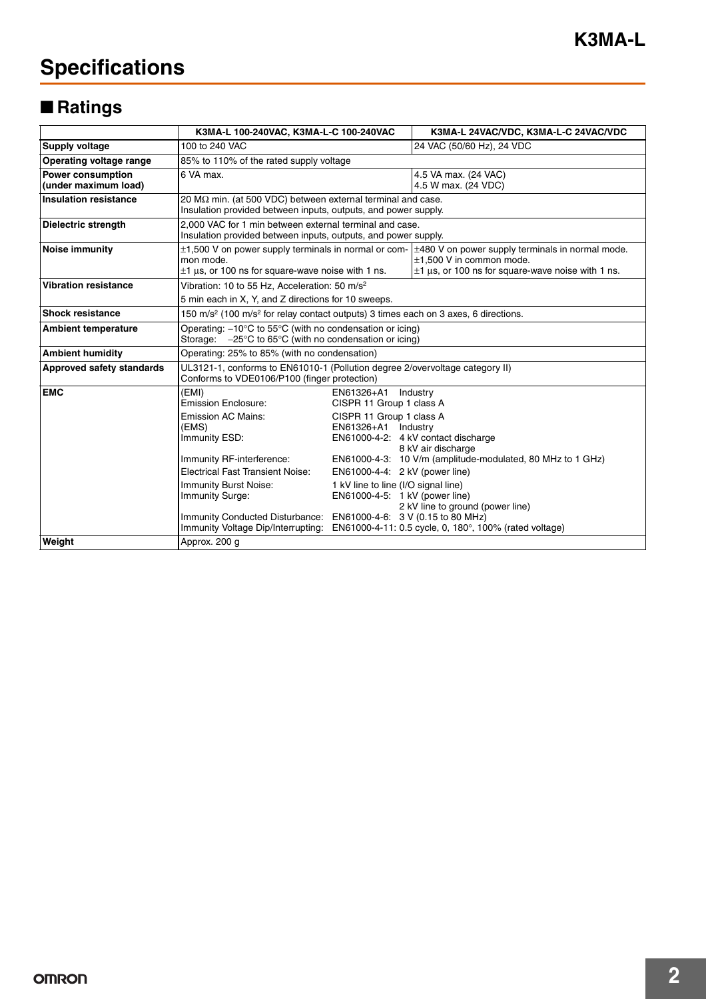# **Specifications**

# ■ **Ratings**

|                                                  | K3MA-L 100-240VAC, K3MA-L-C 100-240VAC                                                                                                                                                                                                                                                                                    |                                                                                                                                                                                                      | K3MA-L 24VAC/VDC, K3MA-L-C 24VAC/VDC                                                                                                                                                                                              |  |  |  |
|--------------------------------------------------|---------------------------------------------------------------------------------------------------------------------------------------------------------------------------------------------------------------------------------------------------------------------------------------------------------------------------|------------------------------------------------------------------------------------------------------------------------------------------------------------------------------------------------------|-----------------------------------------------------------------------------------------------------------------------------------------------------------------------------------------------------------------------------------|--|--|--|
| <b>Supply voltage</b>                            | 100 to 240 VAC                                                                                                                                                                                                                                                                                                            |                                                                                                                                                                                                      | 24 VAC (50/60 Hz), 24 VDC                                                                                                                                                                                                         |  |  |  |
| Operating voltage range                          | 85% to 110% of the rated supply voltage                                                                                                                                                                                                                                                                                   |                                                                                                                                                                                                      |                                                                                                                                                                                                                                   |  |  |  |
| <b>Power consumption</b><br>(under maximum load) | 6 VA max.                                                                                                                                                                                                                                                                                                                 |                                                                                                                                                                                                      | 4.5 VA max. (24 VAC)<br>4.5 W max. (24 VDC)                                                                                                                                                                                       |  |  |  |
| <b>Insulation resistance</b>                     | 20 $\text{M}\Omega$ min. (at 500 VDC) between external terminal and case.<br>Insulation provided between inputs, outputs, and power supply.                                                                                                                                                                               |                                                                                                                                                                                                      |                                                                                                                                                                                                                                   |  |  |  |
| <b>Dielectric strength</b>                       | 2.000 VAC for 1 min between external terminal and case.<br>Insulation provided between inputs, outputs, and power supply.                                                                                                                                                                                                 |                                                                                                                                                                                                      |                                                                                                                                                                                                                                   |  |  |  |
| <b>Noise immunity</b>                            | mon mode.<br>$\pm$ 1 µs, or 100 ns for square-wave noise with 1 ns.                                                                                                                                                                                                                                                       |                                                                                                                                                                                                      | $\pm$ 1,500 V on power supply terminals in normal or com- $\pm$ 480 V on power supply terminals in normal mode.<br>$±1.500$ V in common mode.<br>$\pm$ 1 µs, or 100 ns for square-wave noise with 1 ns.                           |  |  |  |
| <b>Vibration resistance</b>                      | Vibration: 10 to 55 Hz, Acceleration: 50 m/s <sup>2</sup><br>5 min each in X, Y, and Z directions for 10 sweeps.                                                                                                                                                                                                          |                                                                                                                                                                                                      |                                                                                                                                                                                                                                   |  |  |  |
| <b>Shock resistance</b>                          | 150 m/s <sup>2</sup> (100 m/s <sup>2</sup> for relay contact outputs) 3 times each on 3 axes, 6 directions.                                                                                                                                                                                                               |                                                                                                                                                                                                      |                                                                                                                                                                                                                                   |  |  |  |
| <b>Ambient temperature</b>                       | Operating: $-10^{\circ}$ C to 55 $^{\circ}$ C (with no condensation or icing)<br>Storage: $-25^{\circ}$ C to 65 $^{\circ}$ C (with no condensation or icing)                                                                                                                                                              |                                                                                                                                                                                                      |                                                                                                                                                                                                                                   |  |  |  |
| <b>Ambient humidity</b>                          | Operating: 25% to 85% (with no condensation)                                                                                                                                                                                                                                                                              |                                                                                                                                                                                                      |                                                                                                                                                                                                                                   |  |  |  |
| Approved safety standards                        | UL3121-1, conforms to EN61010-1 (Pollution degree 2/overvoltage category II)<br>Conforms to VDE0106/P100 (finger protection)                                                                                                                                                                                              |                                                                                                                                                                                                      |                                                                                                                                                                                                                                   |  |  |  |
| <b>EMC</b>                                       | (EMI)<br><b>Emission Enclosure:</b><br><b>Emission AC Mains:</b><br>(EMS)<br>Immunity ESD:<br>Immunity RF-interference:<br><b>Electrical Fast Transient Noise:</b><br>Immunity Burst Noise:<br>Immunity Surge:<br>Immunity Conducted Disturbance: EN61000-4-6: 3 V (0.15 to 80 MHz)<br>Immunity Voltage Dip/Interrupting: | EN61326+A1<br>CISPR 11 Group 1 class A<br>CISPR 11 Group 1 class A<br>EN61326+A1 Industry<br>EN61000-4-4: 2 kV (power line)<br>1 kV line to line (I/O signal line)<br>EN61000-4-5: 1 kV (power line) | Industry<br>EN61000-4-2: 4 kV contact discharge<br>8 kV air discharge<br>EN61000-4-3: 10 V/m (amplitude-modulated, 80 MHz to 1 GHz)<br>2 kV line to ground (power line)<br>EN61000-4-11: 0.5 cycle, 0, 180°, 100% (rated voltage) |  |  |  |
| Weight                                           | Approx. 200 g                                                                                                                                                                                                                                                                                                             |                                                                                                                                                                                                      |                                                                                                                                                                                                                                   |  |  |  |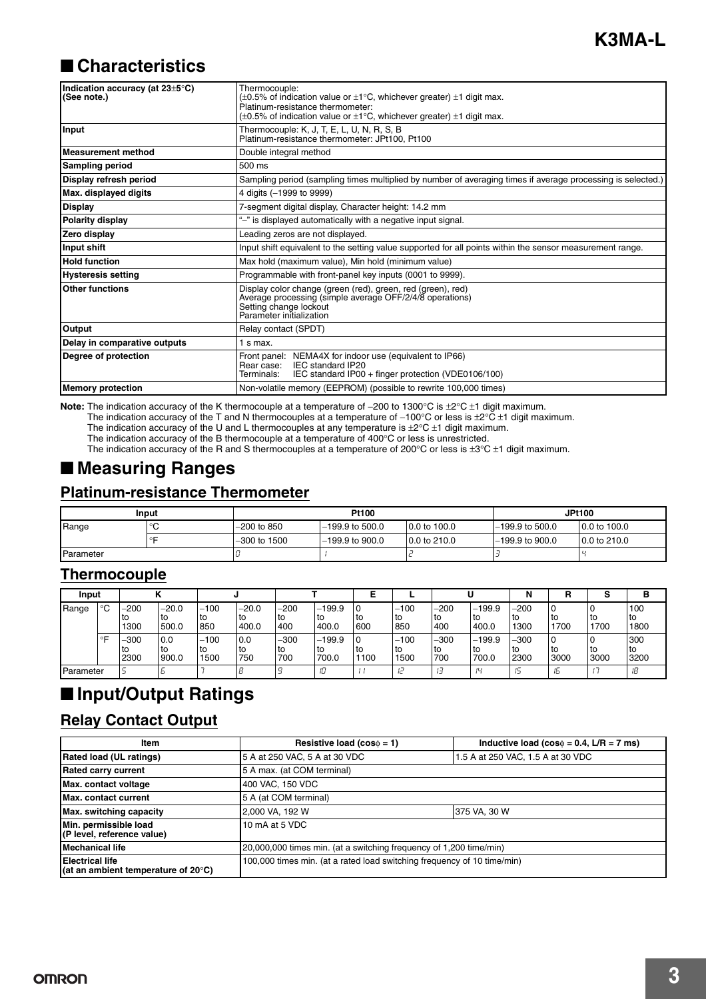### ■ **Characteristics**

| Indication accuracy (at 23±5°C)<br>(See note.) | Thermocouple:<br>$(\pm 0.5\%$ of indication value or $\pm 1^{\circ}$ C, whichever greater) $\pm 1$ digit max.<br>Platinum-resistance thermometer:<br>$(\pm 0.5\%$ of indication value or $\pm 1^{\circ}$ C, whichever greater) $\pm 1$ digit max. |  |  |  |  |
|------------------------------------------------|---------------------------------------------------------------------------------------------------------------------------------------------------------------------------------------------------------------------------------------------------|--|--|--|--|
| Input                                          | Thermocouple: K, J, T, E, L, U, N, R, S, B<br>Platinum-resistance thermometer: JPt100, Pt100                                                                                                                                                      |  |  |  |  |
| Measurement method                             | Double integral method                                                                                                                                                                                                                            |  |  |  |  |
| <b>Sampling period</b>                         | 500 ms                                                                                                                                                                                                                                            |  |  |  |  |
| Display refresh period                         | Sampling period (sampling times multiplied by number of averaging times if average processing is selected.)                                                                                                                                       |  |  |  |  |
| Max. displayed digits                          | 4 digits (-1999 to 9999)                                                                                                                                                                                                                          |  |  |  |  |
| <b>Display</b>                                 | 7-segment digital display, Character height: 14.2 mm                                                                                                                                                                                              |  |  |  |  |
| <b>Polarity display</b>                        | "-" is displayed automatically with a negative input signal.                                                                                                                                                                                      |  |  |  |  |
| Zero display                                   | Leading zeros are not displayed.                                                                                                                                                                                                                  |  |  |  |  |
| Input shift                                    | Input shift equivalent to the setting value supported for all points within the sensor measurement range.                                                                                                                                         |  |  |  |  |
| <b>Hold function</b>                           | Max hold (maximum value), Min hold (minimum value)                                                                                                                                                                                                |  |  |  |  |
| <b>Hysteresis setting</b>                      | Programmable with front-panel key inputs (0001 to 9999).                                                                                                                                                                                          |  |  |  |  |
| <b>Other functions</b>                         | Display color change (green (red), green, red (green), red)<br>Average processing (simple average OFF/2/4/8 operations)<br>Setting change lockout<br>Parameter initialization                                                                     |  |  |  |  |
| Output                                         | Relay contact (SPDT)                                                                                                                                                                                                                              |  |  |  |  |
| Delay in comparative outputs                   | $1$ s max.                                                                                                                                                                                                                                        |  |  |  |  |
| Degree of protection                           | NEMA4X for indoor use (equivalent to IP66)<br>Front panel:<br>IEC standard IP20<br>Rear case:<br>IEC standard IP00 + finger protection (VDE0106/100)<br>Terminals:                                                                                |  |  |  |  |
| <b>Memory protection</b>                       | Non-volatile memory (EEPROM) (possible to rewrite 100,000 times)                                                                                                                                                                                  |  |  |  |  |

**Note:** The indication accuracy of the K thermocouple at a temperature of −200 to 1300°C is ±2°C ±1 digit maximum.

The indication accuracy of the T and N thermocouples at a temperature of −100°C or less is ±2°C ±1 digit maximum.

The indication accuracy of the U and L thermocouples at any temperature is  $\pm 2^{\circ}\text{C}\pm 1$  digit maximum.

The indication accuracy of the B thermocouple at a temperature of 400 $^{\circ}$ C or less is unrestricted.

The indication accuracy of the R and S thermocouples at a temperature of 200°C or less is  $\pm 3^{\circ}\text{C}\pm1$  digit maximum.

### ■ **Measuring Ranges**

#### **Platinum-resistance Thermometer**

| Input     |        |                | Pt100             | <b>JPt100</b> |                   |              |
|-----------|--------|----------------|-------------------|---------------|-------------------|--------------|
| Range     | $\sim$ | $-200$ to 850  | $-199.9$ to 500.0 | 0.0 to 100.0  | $-199.9$ to 500.0 | 0.0 to 100.0 |
|           |        | $-300$ to 1500 | $-199.9$ to 900.0 | 0.0 to 210.0  | $-199.9$ to 900.0 | 0.0 to 210.0 |
| Parameter |        |                |                   |               |                   |              |

#### **Thermocouple**

| Input     |         |                    |                        |                        |                        |                       |                           |                    |                        |                     |                          | N                    |              |              | в                   |
|-----------|---------|--------------------|------------------------|------------------------|------------------------|-----------------------|---------------------------|--------------------|------------------------|---------------------|--------------------------|----------------------|--------------|--------------|---------------------|
| Range     | $\circ$ | -200<br>to<br>1300 | $-20.0$<br>to<br>500.0 | $-100$<br>l to<br>850  | $-20.0$<br>to<br>400.0 | $-200$<br>l to<br>400 | $-199.9$<br>l to<br>400.0 | 10<br>' to<br>600  | $-100$<br>l to<br>850  | $-200$<br>to<br>400 | $-199.9$<br>lto<br>400.0 | $-200$<br>to<br>1300 | to<br>1700   | I to<br>1700 | 100<br>' to<br>1800 |
|           | ∘⊏      | -300<br>to<br>2300 | 0.0<br>to<br>900.0     | $-100$<br>l to<br>1500 | 0.0<br>l to<br>750     | $-300$<br>l to<br>700 | $-199.9$<br>l to<br>700.0 | 10<br>' to<br>1100 | $-100$<br>l to<br>1500 | $-300$<br>to<br>700 | $-199.9$<br>to<br>700.0  | $-300$<br>to<br>2300 | l to<br>3000 | l to<br>3000 | 300<br>' to<br>3200 |
| Parameter |         |                    |                        |                        |                        |                       | - 10                      |                    |                        |                     | ĮЦ                       | i5                   | i'n          |              |                     |

### ■ **Input/Output Ratings**

#### **Relay Contact Output**

| <b>Item</b>                                                             | Resistive load ( $cos\phi = 1$ )                                        | Inductive load ( $cos\phi = 0.4$ , L/R = 7 ms) |  |  |  |
|-------------------------------------------------------------------------|-------------------------------------------------------------------------|------------------------------------------------|--|--|--|
| Rated load (UL ratings)                                                 | 5 A at 250 VAC, 5 A at 30 VDC                                           | 1.5 A at 250 VAC, 1.5 A at 30 VDC              |  |  |  |
| <b>Rated carry current</b>                                              | 5 A max. (at COM terminal)                                              |                                                |  |  |  |
| Max. contact voltage                                                    | 400 VAC, 150 VDC                                                        |                                                |  |  |  |
| Max. contact current                                                    | 5 A (at COM terminal)                                                   |                                                |  |  |  |
| Max. switching capacity                                                 | 2,000 VA, 192 W                                                         | 375 VA, 30 W                                   |  |  |  |
| Min. permissible load<br>(P level, reference value)                     | 10 mA at 5 VDC                                                          |                                                |  |  |  |
| <b>Mechanical life</b>                                                  | 20,000,000 times min. (at a switching frequency of 1,200 time/min)      |                                                |  |  |  |
| <b>Electrical life</b><br>(at an ambient temperature of $20^{\circ}$ C) | 100,000 times min. (at a rated load switching frequency of 10 time/min) |                                                |  |  |  |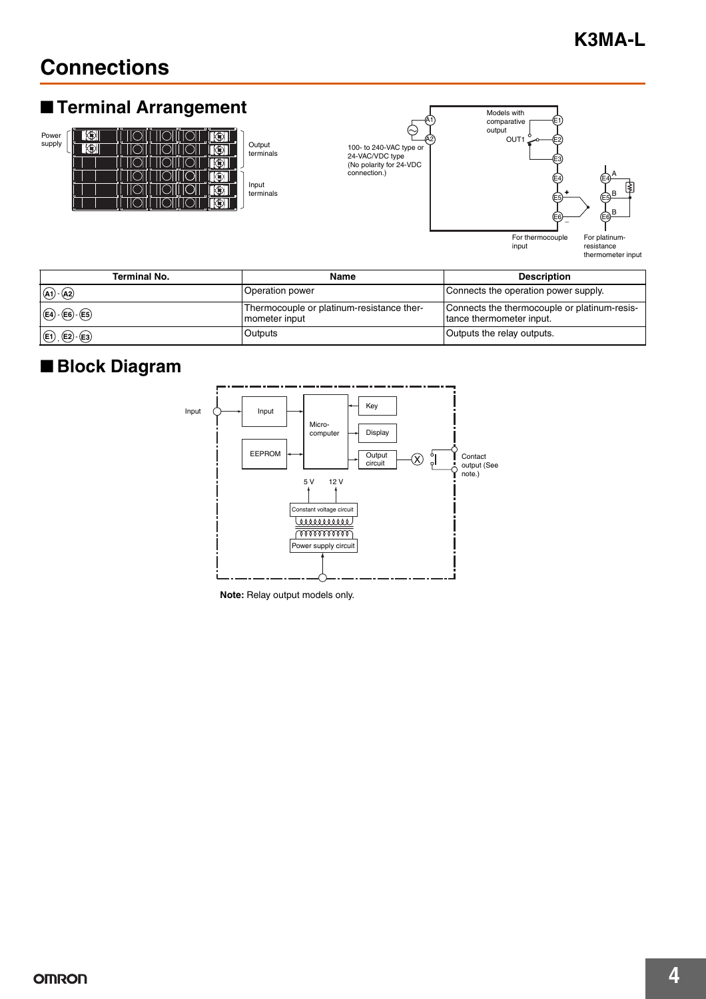# **Connections**

# ■ **Terminal Arrangement**



Output<br>terminals





resistance thermometer input

| <b>Terminal No.</b>                           | Name                                                       | <b>Description</b>                                                       |
|-----------------------------------------------|------------------------------------------------------------|--------------------------------------------------------------------------|
| $(A1)$ $(A2)$                                 | Operation power                                            | Connects the operation power supply.                                     |
| $(E4)$ - $(E6)$ - $(E5)$                      | Thermocouple or platinum-resistance ther-<br>mometer input | Connects the thermocouple or platinum-resis-<br>tance thermometer input. |
| $\bigoplus$ , $\bigoplus$ $\cdot$ $\bigoplus$ | Outputs                                                    | Outputs the relay outputs.                                               |

# ■ **Block Diagram**



**Note:** Relay output models only.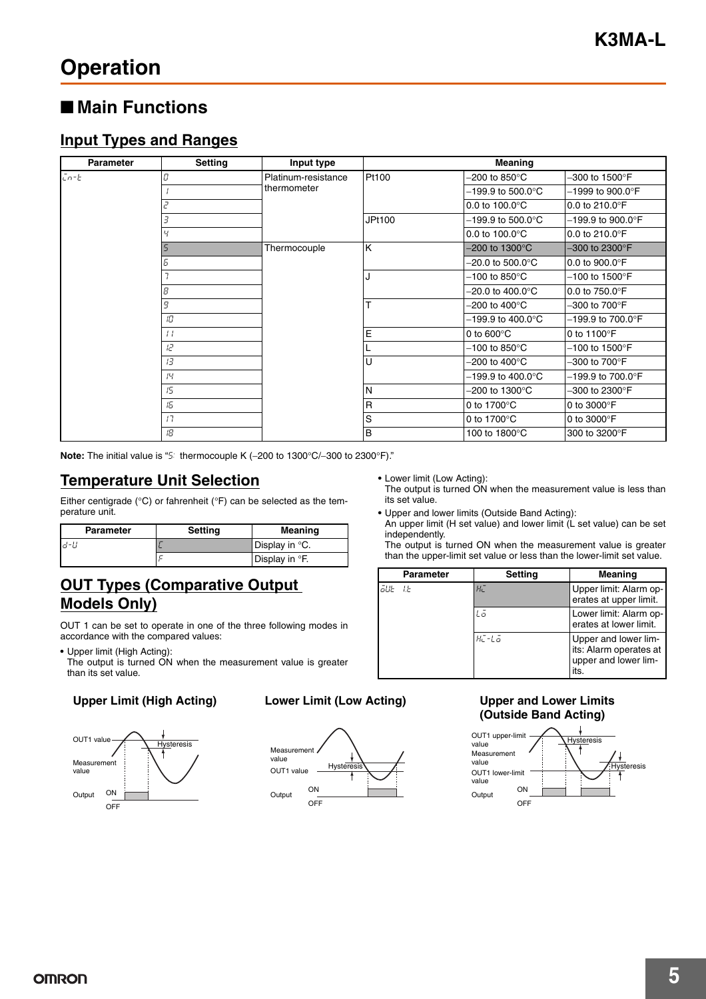# **Operation**

### ■ **Main Functions**

#### **Input Types and Ranges**

| Parameter          | <b>Setting</b> | Input type          | Meaning       |                               |                                     |  |  |
|--------------------|----------------|---------------------|---------------|-------------------------------|-------------------------------------|--|--|
| $\overline{L}$ n-E | Π              | Platinum-resistance | Pt100         | -200 to 850 $^{\circ}$ C      | $-300$ to 1500 $\mathrm{^{\circ}F}$ |  |  |
|                    |                | thermometer         |               | -199.9 to 500.0°C             | $-1999$ to $900.0^{\circ}$ F        |  |  |
|                    | 2              |                     |               | 0.0 to $100.0^{\circ}$ C      | 0.0 to 210.0 $\degree$ F            |  |  |
|                    | 3              |                     | <b>JPt100</b> | $-199.9$ to $500.0^{\circ}$ C | $-199.9$ to $900.0^{\circ}$ F       |  |  |
|                    |                |                     |               | 0.0 to $100.0^{\circ}$ C      | 0.0 to 210.0 $\degree$ F            |  |  |
|                    |                | Thermocouple        | K             | $-200$ to 1300 $^{\circ}$ C   | $-300$ to 2300 $\degree$ F          |  |  |
|                    | Б              |                     |               | $-20.0$ to $500.0^{\circ}$ C  | 0.0 to 900.0°F                      |  |  |
|                    |                |                     |               | -100 to 850 $^{\circ}$ C      | $-100$ to 1500°F                    |  |  |
|                    | 8              |                     |               | $-20.0$ to $400.0^{\circ}$ C  | 0.0 to 750.0°F                      |  |  |
|                    | 9              |                     | T             | -200 to 400 $^{\circ}$ C      | $-300$ to $700^\circ$ F             |  |  |
|                    | 10             |                     |               | –199.9 to 400.0°C             | $-199.9$ to 700.0°F                 |  |  |
|                    | $\pm$          |                     | E             | 0 to $600^{\circ}$ C          | 0 to 1100°F                         |  |  |
|                    | ΙZ             |                     |               | $-100$ to 850 $^{\circ}$ C    | $-100$ to 1500 $\degree$ F          |  |  |
|                    | 13             |                     | U             | -200 to 400 $^{\circ}$ C      | $-300$ to $700^{\circ}$ F           |  |  |
|                    | $\mu$          |                     |               | $-199.9$ to $400.0^{\circ}$ C | $-199.9$ to 700.0°F                 |  |  |
|                    | 15             |                     | N             | $-200$ to 1300 $^{\circ}$ C   | $-300$ to 2300°F                    |  |  |
|                    | 15             |                     | R             | 0 to 1700 $\degree$ C         | 0 to 3000°F                         |  |  |
|                    | 17             |                     | S             | 0 to 1700 $\degree$ C         | 0 to 3000°F                         |  |  |
|                    | 18             |                     | B             | 100 to 1800°C                 | 300 to 3200°F                       |  |  |

**Note:** The initial value is "5: thermocouple K (−200 to 1300°C/−300 to 2300°F)."

#### **Temperature Unit Selection**

Either centigrade ( $^{\circ}$ C) or fahrenheit ( $^{\circ}$ F) can be selected as the temperature unit.

| <b>Parameter</b> | Setting | Meaning                    |
|------------------|---------|----------------------------|
| ld-U             |         | Display in °C.             |
|                  |         | Display in <sup>o</sup> F. |

#### **OUT Types (Comparative Output Models Only)**

OUT 1 can be set to operate in one of the three following modes in accordance with the compared values:

**•** Upper limit (High Acting):

The output is turned ON when the measurement value is greater than its set value.

#### **Upper Limit (High Acting) Lower Limit (Low Acting)**





**•** Lower limit (Low Acting):

The output is turned ON when the measurement value is less than its set value.

**•** Upper and lower limits (Outside Band Acting):

An upper limit (H set value) and lower limit (L set value) can be set independently.

The output is turned ON when the measurement value is greater than the upper-limit set value or less than the lower-limit set value.

|        | <b>Parameter</b> | <b>Setting</b>     | <b>Meaning</b>                                                                 |
|--------|------------------|--------------------|--------------------------------------------------------------------------------|
| āue te |                  | HΕ                 | Upper limit: Alarm op-<br>erates at upper limit.                               |
|        |                  | Lā                 | Lower limit: Alarm op-<br>erates at lower limit.                               |
|        |                  | $H$ <sup>-La</sup> | Upper and lower lim-<br>its: Alarm operates at<br>upper and lower lim-<br>its. |

#### **Upper and Lower Limits (Outside Band Acting)**

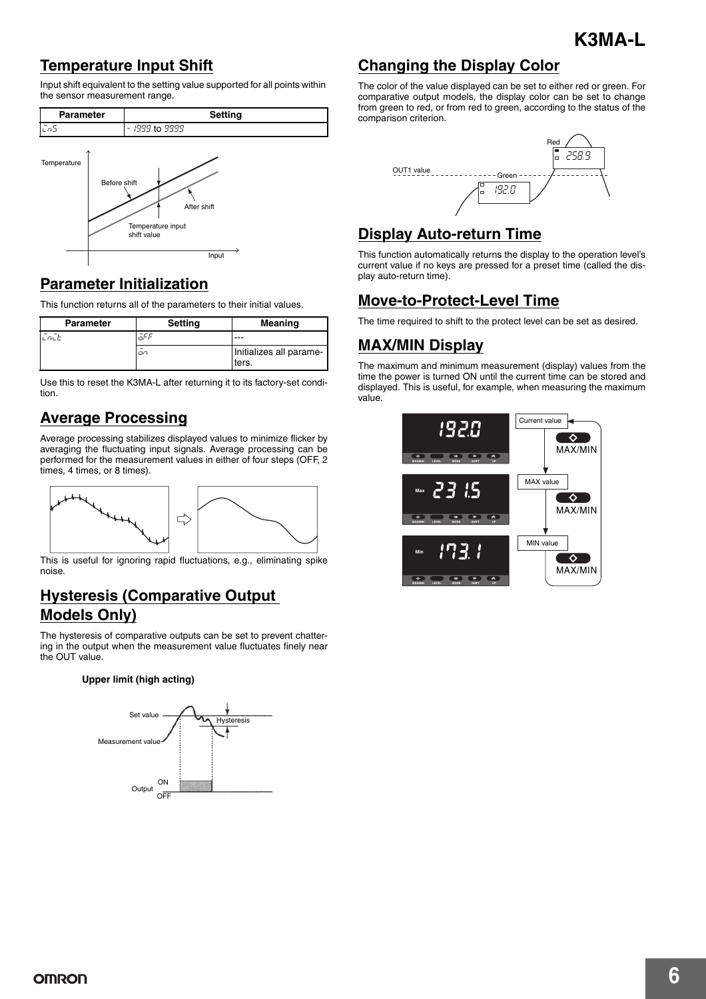### **Temperature Input Shift**

Input shift equivalent to the setting value supported for all points within the sensor measurement range.





#### **Parameter Initialization**

This function returns all of the parameters to their initial values.

| <b>Parameter</b> | <b>Setting</b> | <b>Meaning</b>                   |
|------------------|----------------|----------------------------------|
| ヒロヒヒ             |                |                                  |
|                  | on             | Initializes all parame-<br>ters. |

Use this to reset the K3MA-L after returning it to its factory-set condition.

#### **Average Processing**

Average processing stabilizes displayed values to minimize flicker by averaging the fluctuating input signals. Average processing can be performed for the measurement values in either of four steps (OFF, 2 times, 4 times, or 8 times).



This is useful for ignoring rapid fluctuations, e.g., eliminating spike noise.

#### **Hysteresis (Comparative Output Models Only)**

The hysteresis of comparative outputs can be set to prevent chattering in the output when the measurement value fluctuates finely near the OUT value.

#### **Upper limit (high acting)**



#### **Changing the Display Color**

The color of the value displayed can be set to either red or green. For comparative output models, the display color can be set to change from green to red, or from red to green, according to the status of the comparison criterion.



#### **Display Auto-return Time**

This function automatically returns the display to the operation level's current value if no keys are pressed for a preset time (called the display auto-return time).

#### **Move-to-Protect-Level Time**

The time required to shift to the protect level can be set as desired.

#### **MAX/MIN Display**

The maximum and minimum measurement (display) values from the time the power is turned ON until the current time can be stored and displayed. This is useful, for example, when measuring the maximum value.

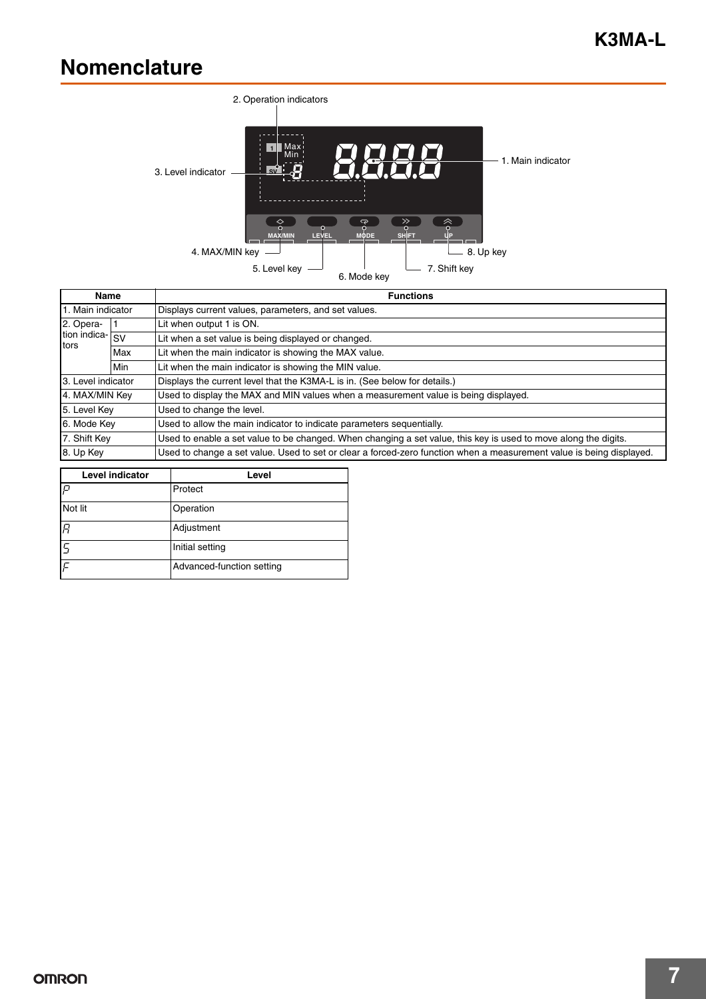# **Nomenclature**



| Name                                                         |  | <b>Functions</b>                                                                                                     |  |
|--------------------------------------------------------------|--|----------------------------------------------------------------------------------------------------------------------|--|
| 1. Main indicator                                            |  | Displays current values, parameters, and set values.                                                                 |  |
| 2. Opera-                                                    |  | Lit when output 1 is ON.                                                                                             |  |
| tion indica- SV                                              |  | Lit when a set value is being displayed or changed.                                                                  |  |
| tors<br>Max                                                  |  | Lit when the main indicator is showing the MAX value.                                                                |  |
| Lit when the main indicator is showing the MIN value.<br>Min |  |                                                                                                                      |  |
| 3. Level indicator                                           |  | Displays the current level that the K3MA-L is in. (See below for details.)                                           |  |
| 4. MAX/MIN Key                                               |  | Used to display the MAX and MIN values when a measurement value is being displayed.                                  |  |
| 5. Level Key                                                 |  | Used to change the level.                                                                                            |  |
| 6. Mode Key                                                  |  | Used to allow the main indicator to indicate parameters sequentially.                                                |  |
| 7. Shift Key                                                 |  | Used to enable a set value to be changed. When changing a set value, this key is used to move along the digits.      |  |
| 8. Up Key                                                    |  | Used to change a set value. Used to set or clear a forced-zero function when a measurement value is being displayed. |  |

| <b>Level indicator</b> | Level                     |  |
|------------------------|---------------------------|--|
| P                      | Protect                   |  |
| Not lit                | Operation                 |  |
| R                      | Adjustment                |  |
|                        | Initial setting           |  |
|                        | Advanced-function setting |  |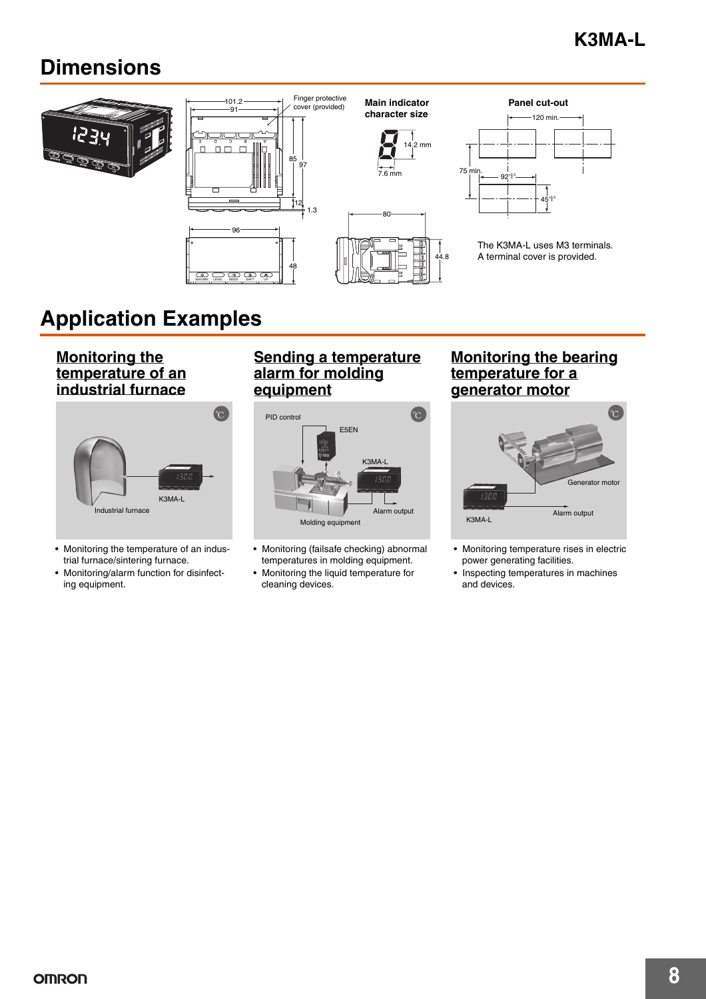# **Dimensions**



# **Application Examples**

**Monitoring the temperature of an industrial furnace**



- Monitoring the temperature of an industrial furnace/sintering furnace.
- Monitoring/alarm function for disinfecting equipment.

#### **Sending a temperature alarm for molding equipment**



- Monitoring (failsafe checking) abnormal temperatures in molding equipment.
- Monitoring the liquid temperature for cleaning devices.

#### **Monitoring the bearing temperature for a generator motor**



- Monitoring temperature rises in electric power generating facilities.
- Inspecting temperatures in machines and devices.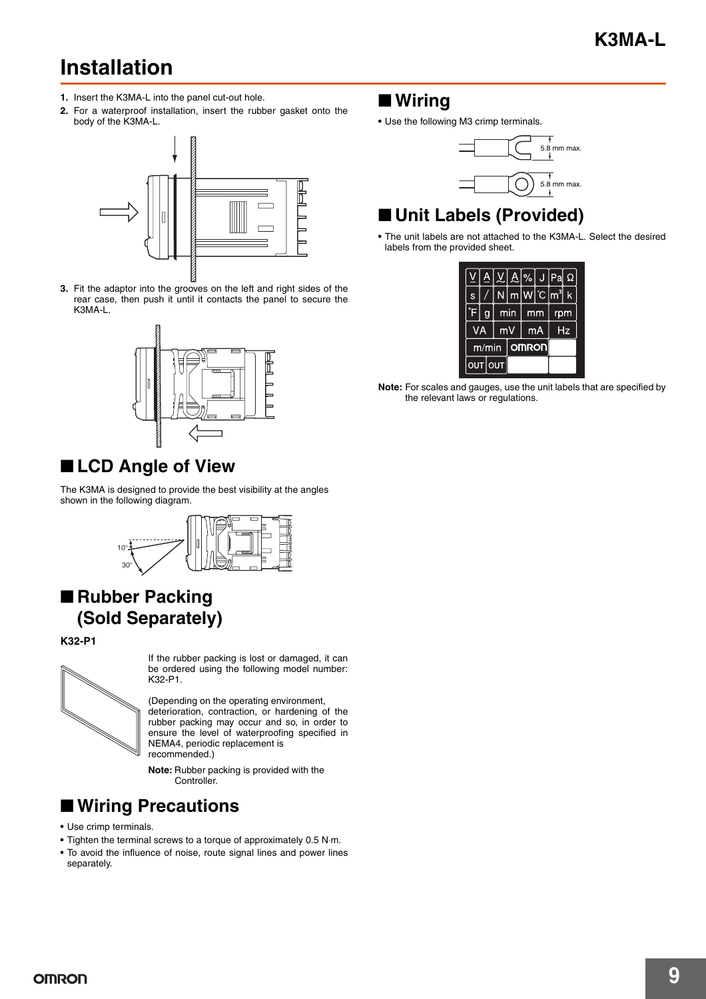# **Installation**

- **1.** Insert the K3MA-L into the panel cut-out hole.
- **2.** For a waterproof installation, insert the rubber gasket onto the body of the K3MA-L.



**3.** Fit the adaptor into the grooves on the left and right sides of the rear case, then push it until it contacts the panel to secure the K3MA-L.



# ■ **LCD** Angle of View

The K3MA is designed to provide the best visibility at the angles shown in the following diagram.



# ■ Rubber Packing **(Sold Separately)**

**K32-P1**



If the rubber packing is lost or damaged, it can be ordered using the following model number: K32-P1.

(Depending on the operating environment, deterioration, contraction, or hardening of the rubber packing may occur and so, in order to ensure the level of waterproofing specified in NEMA4, periodic replacement is recommended.)

**Note:** Rubber packing is provided with the Controller.

# ■ Wiring Precautions

- **•** Use crimp terminals.
- **•** Tighten the terminal screws to a torque of approximately 0.5 N⋅m.
- **•** To avoid the influence of noise, route signal lines and power lines separately.

### ■ **Wiring**

**•** Use the following M3 crimp terminals.



# ■ **Unit Labels (Provided)**

**•** The unit labels are not attached to the K3MA-L. Select the desired labels from the provided sheet.

|       |   | <u>A V A</u>  %  J  Pa |              |             |    |     | Ω  |
|-------|---|------------------------|--------------|-------------|----|-----|----|
| S     |   | N۱                     |              | $m W C m^3$ |    |     | k  |
| F     | g |                        | min          |             | mm | rpm |    |
| VA    |   |                        | mV           |             | mA |     | Ηz |
| m/min |   |                        | <b>OMRON</b> |             |    |     |    |
|       |   | <b>OUT OUT</b>         |              |             |    |     |    |

**Note:** For scales and gauges, use the unit labels that are specified by the relevant laws or regulations.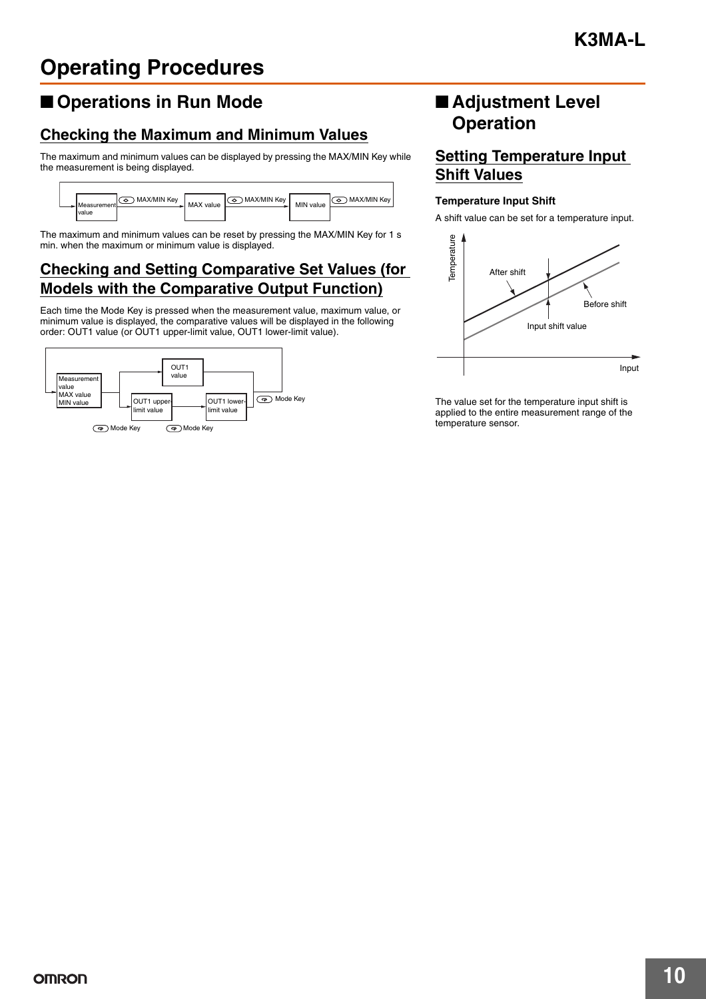# ■ **Operations in Run Mode**

#### **Checking the Maximum and Minimum Values**

The maximum and minimum values can be displayed by pressing the MAX/MIN Key while the measurement is being displayed.



The maximum and minimum values can be reset by pressing the MAX/MIN Key for 1 s min. when the maximum or minimum value is displayed.

#### **Checking and Setting Comparative Set Values (for Models with the Comparative Output Function)**

Each time the Mode Key is pressed when the measurement value, maximum value, or minimum value is displayed, the comparative values will be displayed in the following order: OUT1 value (or OUT1 upper-limit value, OUT1 lower-limit value).



### ■ **Adjustment Level Operation**

#### **Setting Temperature Input Shift Values**

#### **Temperature Input Shift**

A shift value can be set for a temperature input.



The value set for the temperature input shift is applied to the entire measurement range of the<br>temperature sensor.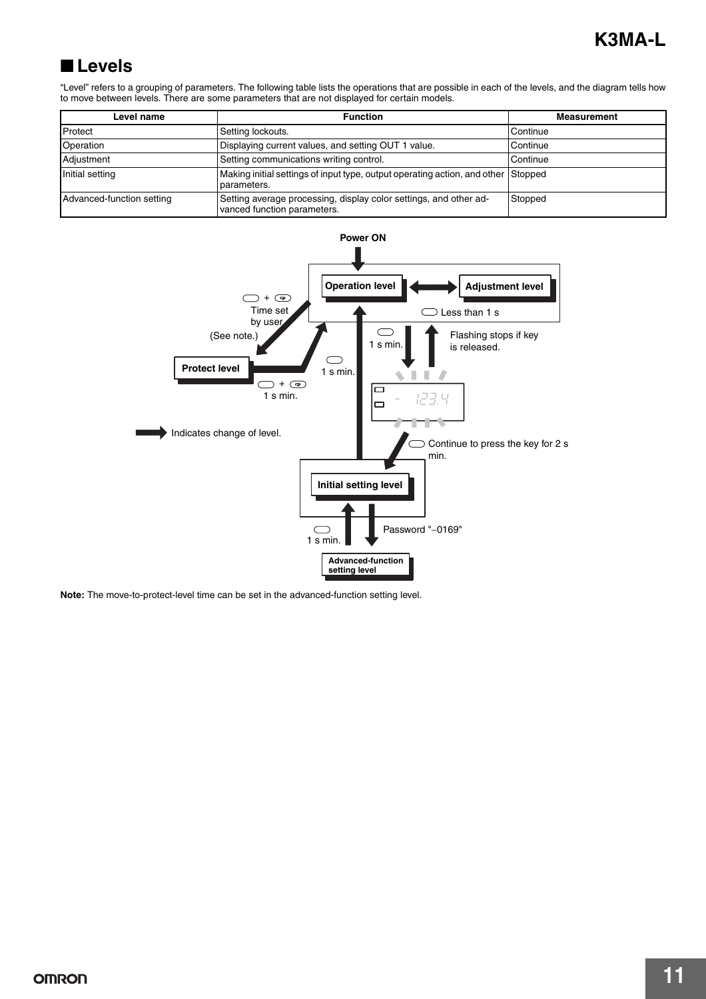# ■ **Levels**

"Level" refers to a grouping of parameters. The following table lists the operations that are possible in each of the levels, and the diagram tells how to move between levels. There are some parameters that are not displayed for certain models.

| Level name                | <b>Function</b>                                                                                  | <b>Measurement</b> |
|---------------------------|--------------------------------------------------------------------------------------------------|--------------------|
| Protect                   | Setting lockouts.                                                                                | Continue           |
| Operation                 | Displaying current values, and setting OUT 1 value.                                              | Continue           |
| Adjustment                | Setting communications writing control.                                                          | Continue           |
| Initial setting           | Making initial settings of input type, output operating action, and other Stopped<br>parameters. |                    |
| Advanced-function setting | Setting average processing, display color settings, and other ad-<br>vanced function parameters. | Stopped            |



**Note:** The move-to-protect-level time can be set in the advanced-function setting level.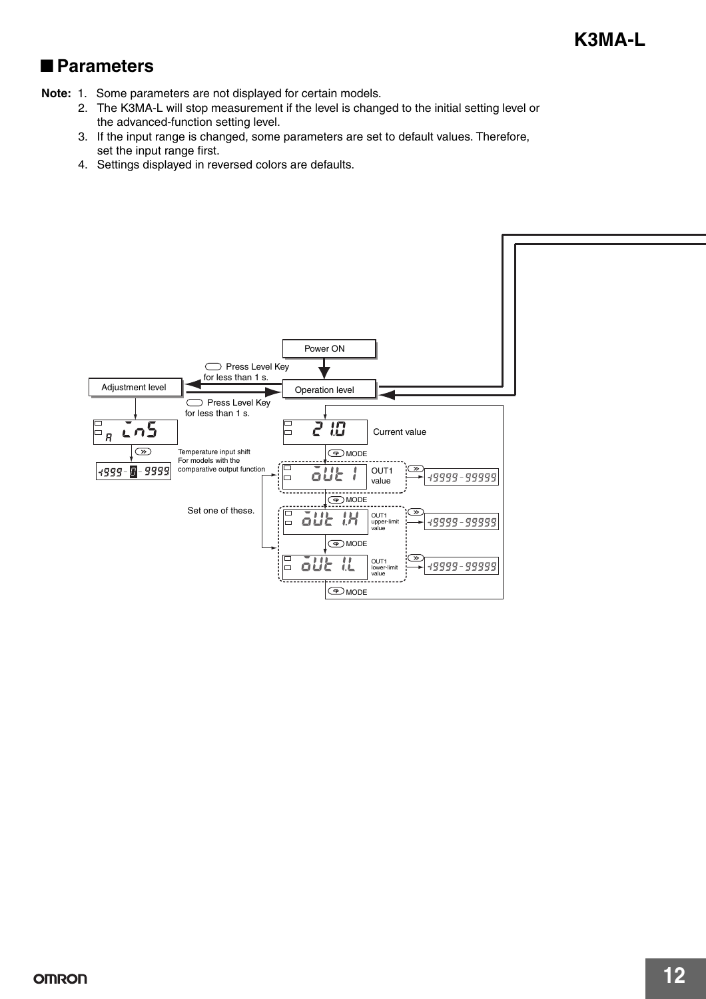### ■ **Parameters**

- **Note:** 1. Some parameters are not displayed for certain models.
	- 2. The K3MA-L will stop measurement if the level is changed to the initial setting level or the advanced-function setting level.
	- 3. If the input range is changed, some parameters are set to default values. Therefore, set the input range first.
	- 4. Settings displayed in reversed colors are defaults.

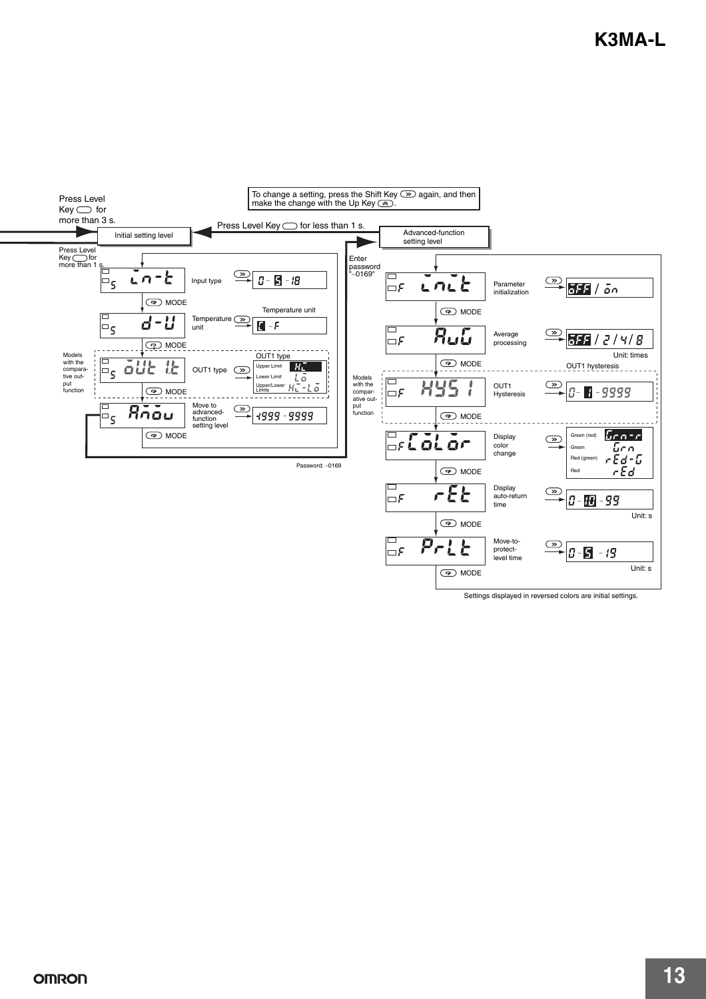

Settings displayed in reversed colors are initial settings.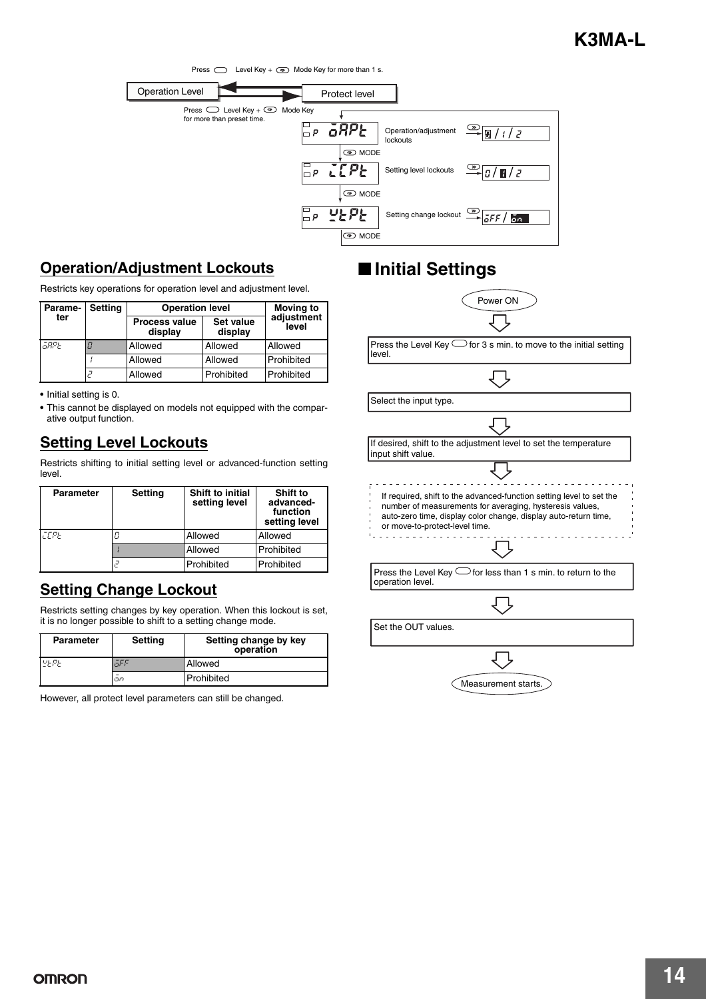

#### **Operation/Adjustment Lockouts**

Restricts key operations for operation level and adjustment level.

| <b>Parame-</b> | <b>Setting</b> | <b>Operation level</b>          | <b>Moving to</b>            |                     |
|----------------|----------------|---------------------------------|-----------------------------|---------------------|
| ter            |                | <b>Process value</b><br>display | <b>Set value</b><br>display | adjustment<br>level |
| āRPE           |                | Allowed                         | Allowed                     | Allowed             |
|                |                | Allowed                         | Allowed                     | Prohibited          |
|                |                | Allowed                         | Prohibited                  | Prohibited          |

**•** Initial setting is 0.

**•** This cannot be displayed on models not equipped with the comparative output function.

#### **Setting Level Lockouts**

Restricts shifting to initial setting level or advanced-function setting level.

| <b>Parameter</b> | <b>Setting</b> | <b>Shift to initial</b><br>setting level | Shift to<br>advanced-<br>function<br>setting level |
|------------------|----------------|------------------------------------------|----------------------------------------------------|
| <b>CEPE</b>      |                | Allowed                                  | Allowed                                            |
|                  |                | Allowed                                  | Prohibited                                         |
|                  |                | Prohibited                               | Prohibited                                         |

#### **Setting Change Lockout**

Restricts setting changes by key operation. When this lockout is set, it is no longer possible to shift to a setting change mode.

| Setting<br>Parameter |     | Setting change by key<br>operation |  |
|----------------------|-----|------------------------------------|--|
| $U_F P_F$            | āFF | Allowed                            |  |
|                      | on  | Prohibited                         |  |

However, all protect level parameters can still be changed.

# ■ **Initial Settings**



Measurement starts.